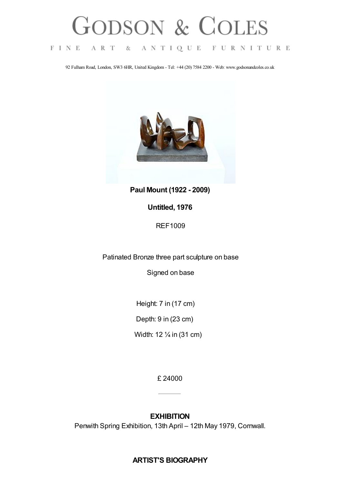## **GODSON & COLES**

FINE ART & ANTIQUE FURNITURE

92 Fulham Road, London, SW3 6HR, United Kingdom - Tel: +44 (20) 7584 2200 - Web: www.godsonandcoles.co.uk



**Paul Mount (1922 - 2009)**

## **Untitled, 1976**

REF1009

Patinated Bronze three part sculpture on base

Signed on base

Height: 7 in (17 cm)

Depth: 9 in (23 cm)

Width: 12 ¼ in (31 cm)

£ 24000

## **EXHIBITION**

Penwith Spring Exhibition, 13th April – 12th May 1979, Cornwall.

## **ARTIST'S BIOGRAPHY**